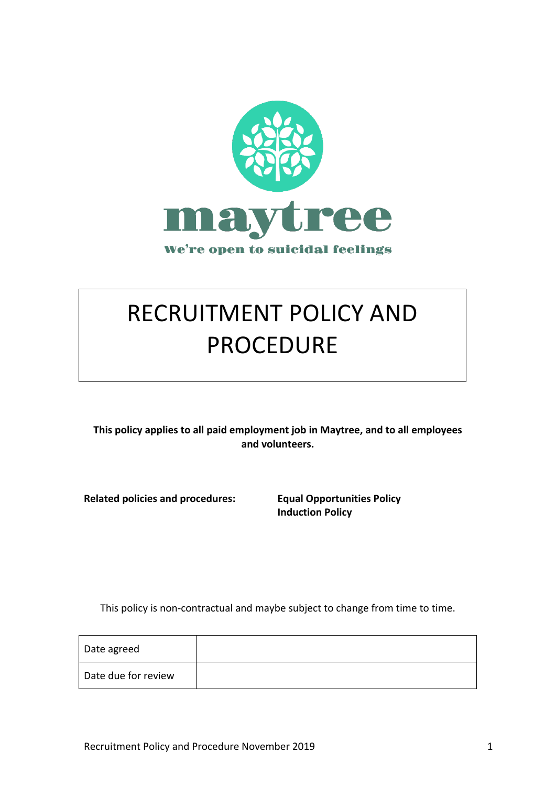

# RECRUITMENT POLICY AND PROCEDURE

This policy applies to all paid employment job in Maytree, and to all employees **and volunteers.**

**Related policies and procedures: Equal Opportunities Policy** 

**Induction Policy**

This policy is non-contractual and maybe subject to change from time to time.

| Date agreed         |  |
|---------------------|--|
| Date due for review |  |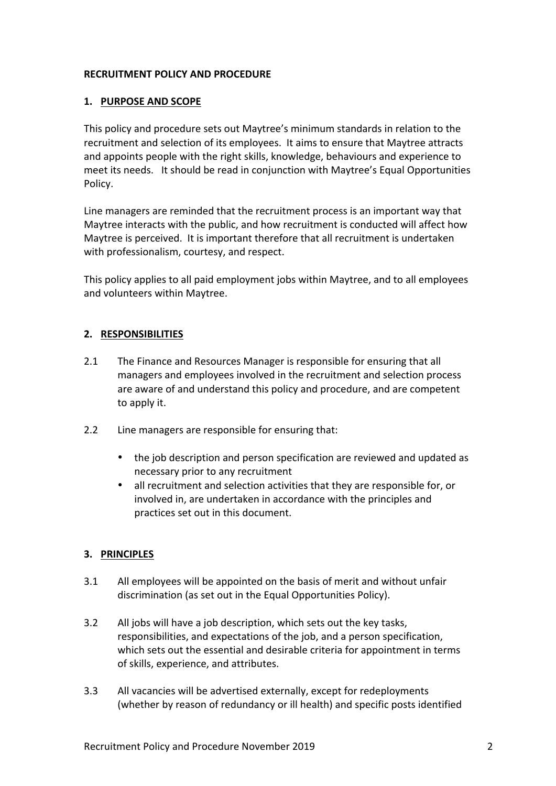## **RECRUITMENT POLICY AND PROCEDURE**

## 1. **PURPOSE AND SCOPE**

This policy and procedure sets out Maytree's minimum standards in relation to the recruitment and selection of its employees. It aims to ensure that Maytree attracts and appoints people with the right skills, knowledge, behaviours and experience to meet its needs. It should be read in conjunction with Maytree's Equal Opportunities Policy.

Line managers are reminded that the recruitment process is an important way that Maytree interacts with the public, and how recruitment is conducted will affect how Maytree is perceived. It is important therefore that all recruitment is undertaken with professionalism, courtesy, and respect.

This policy applies to all paid employment jobs within Maytree, and to all employees and volunteers within Maytree.

## **2. RESPONSIBILITIES**

- 2.1 The Finance and Resources Manager is responsible for ensuring that all managers and employees involved in the recruitment and selection process are aware of and understand this policy and procedure, and are competent to apply it.
- 2.2 Line managers are responsible for ensuring that:
	- the job description and person specification are reviewed and updated as necessary prior to any recruitment
	- all recruitment and selection activities that they are responsible for, or involved in, are undertaken in accordance with the principles and practices set out in this document.

#### **3. PRINCIPLES**

- 3.1 All employees will be appointed on the basis of merit and without unfair discrimination (as set out in the Equal Opportunities Policy).
- 3.2 All jobs will have a job description, which sets out the key tasks, responsibilities, and expectations of the job, and a person specification, which sets out the essential and desirable criteria for appointment in terms of skills, experience, and attributes.
- 3.3 All vacancies will be advertised externally, except for redeployments (whether by reason of redundancy or ill health) and specific posts identified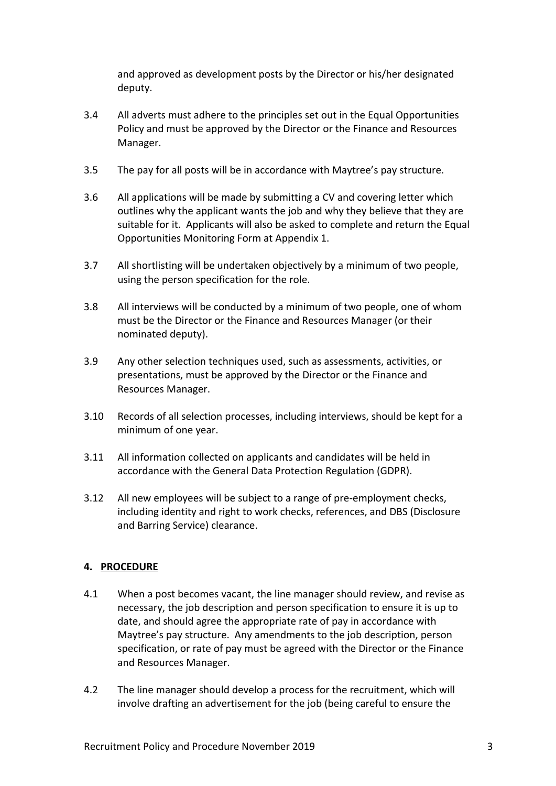and approved as development posts by the Director or his/her designated deputy.

- 3.4 All adverts must adhere to the principles set out in the Equal Opportunities Policy and must be approved by the Director or the Finance and Resources Manager.
- 3.5 The pay for all posts will be in accordance with Maytree's pay structure.
- 3.6 All applications will be made by submitting a CV and covering letter which outlines why the applicant wants the job and why they believe that they are suitable for it. Applicants will also be asked to complete and return the Equal Opportunities Monitoring Form at Appendix 1.
- 3.7 All shortlisting will be undertaken objectively by a minimum of two people, using the person specification for the role.
- 3.8 All interviews will be conducted by a minimum of two people, one of whom must be the Director or the Finance and Resources Manager (or their nominated deputy).
- 3.9 Any other selection techniques used, such as assessments, activities, or presentations, must be approved by the Director or the Finance and Resources Manager.
- 3.10 Records of all selection processes, including interviews, should be kept for a minimum of one year.
- 3.11 All information collected on applicants and candidates will be held in accordance with the General Data Protection Regulation (GDPR).
- 3.12 All new employees will be subject to a range of pre-employment checks, including identity and right to work checks, references, and DBS (Disclosure and Barring Service) clearance.

# **4. PROCEDURE**

- 4.1 When a post becomes vacant, the line manager should review, and revise as necessary, the job description and person specification to ensure it is up to date, and should agree the appropriate rate of pay in accordance with Maytree's pay structure. Any amendments to the job description, person specification, or rate of pay must be agreed with the Director or the Finance and Resources Manager.
- 4.2 The line manager should develop a process for the recruitment, which will involve drafting an advertisement for the job (being careful to ensure the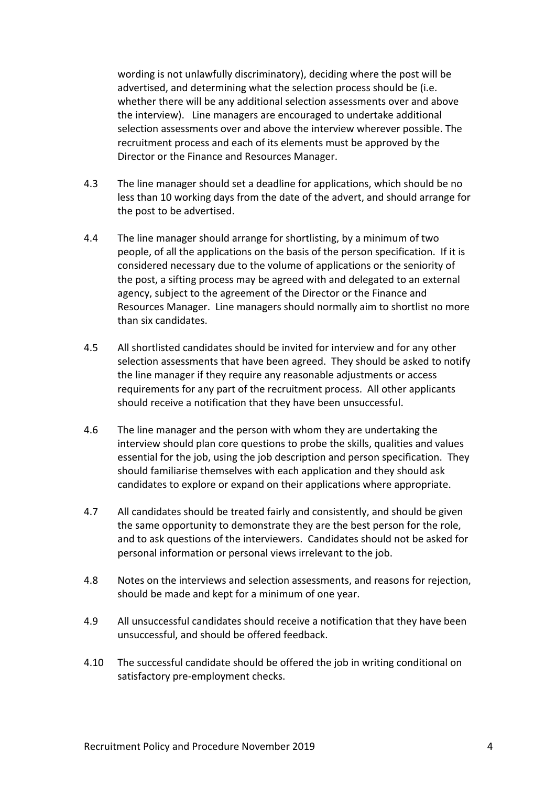wording is not unlawfully discriminatory), deciding where the post will be advertised, and determining what the selection process should be (i.e. whether there will be any additional selection assessments over and above the interview). Line managers are encouraged to undertake additional selection assessments over and above the interview wherever possible. The recruitment process and each of its elements must be approved by the Director or the Finance and Resources Manager.

- 4.3 The line manager should set a deadline for applications, which should be no less than 10 working days from the date of the advert, and should arrange for the post to be advertised.
- 4.4 The line manager should arrange for shortlisting, by a minimum of two people, of all the applications on the basis of the person specification. If it is considered necessary due to the volume of applications or the seniority of the post, a sifting process may be agreed with and delegated to an external agency, subject to the agreement of the Director or the Finance and Resources Manager. Line managers should normally aim to shortlist no more than six candidates.
- 4.5 All shortlisted candidates should be invited for interview and for any other selection assessments that have been agreed. They should be asked to notify the line manager if they require any reasonable adjustments or access requirements for any part of the recruitment process. All other applicants should receive a notification that they have been unsuccessful.
- 4.6 The line manager and the person with whom they are undertaking the interview should plan core questions to probe the skills, qualities and values essential for the job, using the job description and person specification. They should familiarise themselves with each application and they should ask candidates to explore or expand on their applications where appropriate.
- 4.7 All candidates should be treated fairly and consistently, and should be given the same opportunity to demonstrate they are the best person for the role, and to ask questions of the interviewers. Candidates should not be asked for personal information or personal views irrelevant to the job.
- 4.8 Notes on the interviews and selection assessments, and reasons for rejection, should be made and kept for a minimum of one year.
- 4.9 All unsuccessful candidates should receive a notification that they have been unsuccessful, and should be offered feedback.
- 4.10 The successful candidate should be offered the job in writing conditional on satisfactory pre-employment checks.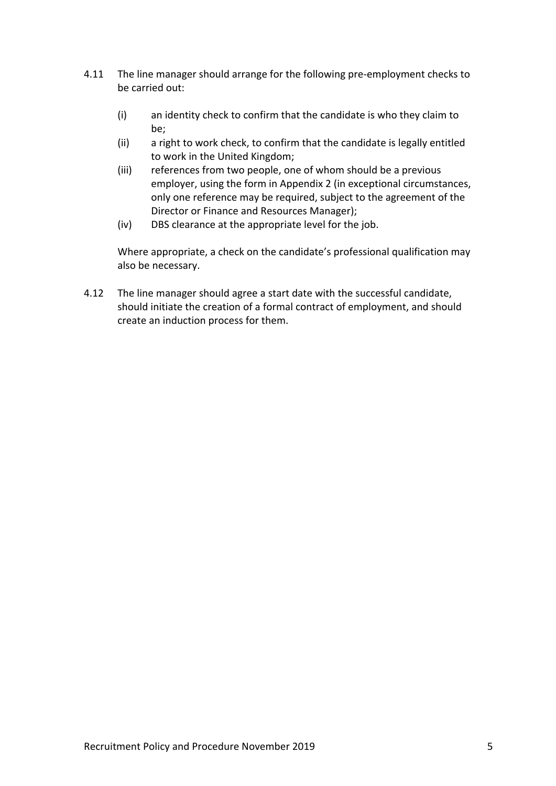- 4.11 The line manager should arrange for the following pre-employment checks to be carried out:
	- (i) an identity check to confirm that the candidate is who they claim to be;
	- (ii) a right to work check, to confirm that the candidate is legally entitled to work in the United Kingdom;
	- (iii) references from two people, one of whom should be a previous employer, using the form in Appendix 2 (in exceptional circumstances, only one reference may be required, subject to the agreement of the Director or Finance and Resources Manager);
	- (iv) DBS clearance at the appropriate level for the job.

Where appropriate, a check on the candidate's professional qualification may also be necessary.

4.12 The line manager should agree a start date with the successful candidate, should initiate the creation of a formal contract of employment, and should create an induction process for them.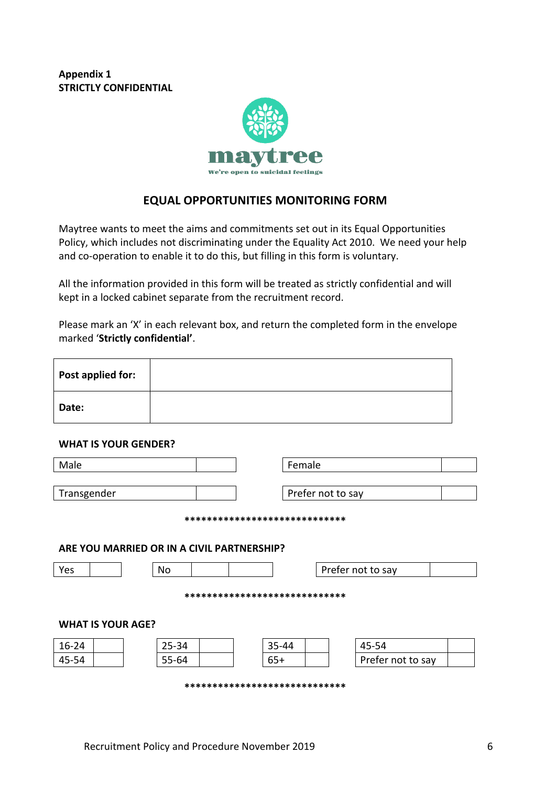**Appendix 1 STRICTLY CONFIDENTIAL** 



# **EQUAL OPPORTUNITIES MONITORING FORM**

Maytree wants to meet the aims and commitments set out in its Equal Opportunities Policy, which includes not discriminating under the Equality Act 2010. We need your help and co-operation to enable it to do this, but filling in this form is voluntary.

All the information provided in this form will be treated as strictly confidential and will kept in a locked cabinet separate from the recruitment record.

Please mark an 'X' in each relevant box, and return the completed form in the envelope marked '**Strictly confidential'**.

| Post applied for: |  |
|-------------------|--|
| Date:             |  |

#### **WHAT IS YOUR GENDER?**

| Male                                       |           | Female                         |                   |  |  |
|--------------------------------------------|-----------|--------------------------------|-------------------|--|--|
| Transgender                                |           |                                | Prefer not to say |  |  |
|                                            |           | ****************************** |                   |  |  |
| ARE YOU MARRIED OR IN A CIVIL PARTNERSHIP? |           |                                |                   |  |  |
| Yes                                        | No        |                                | Prefer not to say |  |  |
| *****************************              |           |                                |                   |  |  |
| <b>WHAT IS YOUR AGE?</b>                   |           |                                |                   |  |  |
| $16 - 24$                                  | 25-34     | 35-44                          | 45-54             |  |  |
| 45-54                                      | $55 - 64$ | $65+$                          | Prefer not to say |  |  |
| ******************************             |           |                                |                   |  |  |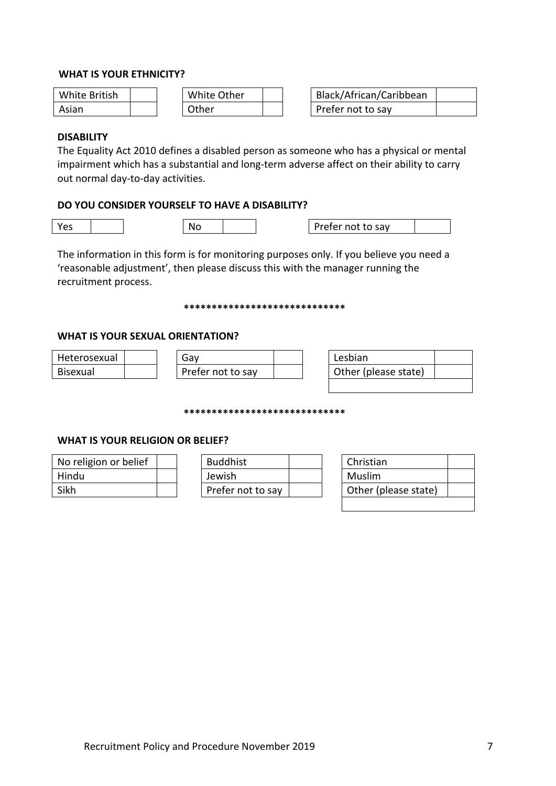#### **WHAT IS YOUR ETHNICITY?**

| White British | White Other | Black/African/Caribbean |
|---------------|-------------|-------------------------|
| Asian         | Other       | Prefer not to say       |

| Black/African/Caribbean |  |
|-------------------------|--|
| Prefer not to say       |  |

#### **DISABILITY**

The Equality Act 2010 defines a disabled person as someone who has a physical or mental impairment which has a substantial and long-term adverse affect on their ability to carry out normal day-to-day activities.

## **DO YOU CONSIDER YOURSELF TO HAVE A DISABILITY?**

Yes No Prefer not to say

The information in this form is for monitoring purposes only. If you believe you need a 'reasonable adjustment', then please discuss this with the manager running the recruitment process.

#### **\*\*\*\*\*\*\*\*\*\*\*\*\*\*\*\*\*\*\*\*\*\*\*\*\*\*\*\*\***

#### **WHAT IS YOUR SEXUAL ORIENTATION?**

| Heterosexual    | Gav               | Lesbian              |  |
|-----------------|-------------------|----------------------|--|
| <b>Bisexual</b> | Prefer not to say | Other (please state) |  |

**\*\*\*\*\*\*\*\*\*\*\*\*\*\*\*\*\*\*\*\*\*\*\*\*\*\*\*\*\***

#### **WHAT IS YOUR RELIGION OR BELIEF?**

| No religion or belief | <b>Buddhist</b>   |  | Christian |
|-----------------------|-------------------|--|-----------|
| Hindu                 | Jewish            |  | Muslim    |
| Sikh                  | Prefer not to say |  | Other (pl |

| No religion or belief |  | <b>Buddhist</b>   |  | Christian            |
|-----------------------|--|-------------------|--|----------------------|
| Hindu                 |  | Jewish            |  | Muslim               |
| Sikh                  |  | Prefer not to say |  | Other (please state) |

| Christian            |  |
|----------------------|--|
| Muslim               |  |
| Other (please state) |  |
|                      |  |